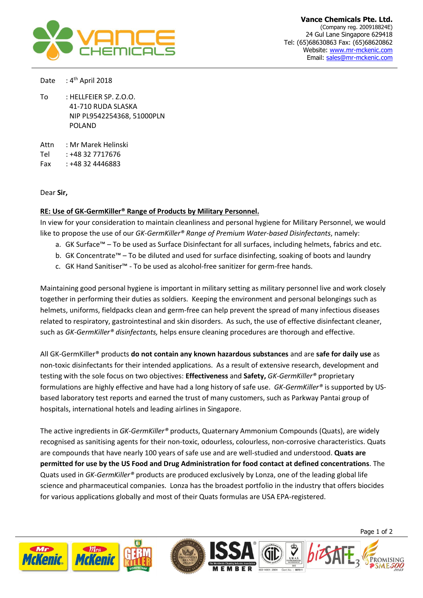

Date : 4<sup>th</sup> April 2018

To : HELLFEIER SP. Z.O.O. 41-710 RUDA SLASKA NIP PL9542254368, 51000PLN POLAND

Attn : Mr Marek Helinski

Tel : +48 32 7717676

Fax : +48 32 4446883

Dear **Sir,**

## **RE: Use of GK-GermKiller® Range of Products by Military Personnel.**

In view for your consideration to maintain cleanliness and personal hygiene for Military Personnel, we would like to propose the use of our *GK-GermKiller® Range of Premium Water-based Disinfectants*, namely:

- a. GK Surface™ To be used as Surface Disinfectant for all surfaces, including helmets, fabrics and etc.
- b. GK Concentrate™ To be diluted and used for surface disinfecting, soaking of boots and laundry
- c. GK Hand Sanitiser™ To be used as alcohol-free sanitizer for germ-free hands.

Maintaining good personal hygiene is important in military setting as military personnel live and work closely together in performing their duties as soldiers. Keeping the environment and personal belongings such as helmets, uniforms, fieldpacks clean and germ-free can help prevent the spread of many infectious diseases related to respiratory, gastrointestinal and skin disorders. As such, the use of effective disinfectant cleaner, such as *GK-GermKiller® disinfectants,* helps ensure cleaning procedures are thorough and effective.

All GK-GermKiller® products **do not contain any known hazardous substances** and are **safe for daily use** as non-toxic disinfectants for their intended applications. As a result of extensive research, development and testing with the sole focus on two objectives: **Effectiveness** and **Safety,** *GK-GermKiller®* proprietary formulations are highly effective and have had a long history of safe use. *GK-GermKiller®* is supported by USbased laboratory test reports and earned the trust of many customers, such as Parkway Pantai group of hospitals, international hotels and leading airlines in Singapore.

The active ingredients in *GK-GermKiller®* products, Quaternary Ammonium Compounds (Quats), are widely recognised as sanitising agents for their non-toxic, odourless, colourless, non-corrosive characteristics. Quats are compounds that have nearly 100 years of safe use and are well-studied and understood. **Quats are permitted for use by the US Food and Drug Administration for food contact at defined concentrations**. The Quats used in *GK-GermKiller®* products are produced exclusively by Lonza, one of the leading global life science and pharmaceutical companies. Lonza has the broadest portfolio in the industry that offers biocides for various applications globally and most of their Quats formulas are USA EPA-registered.